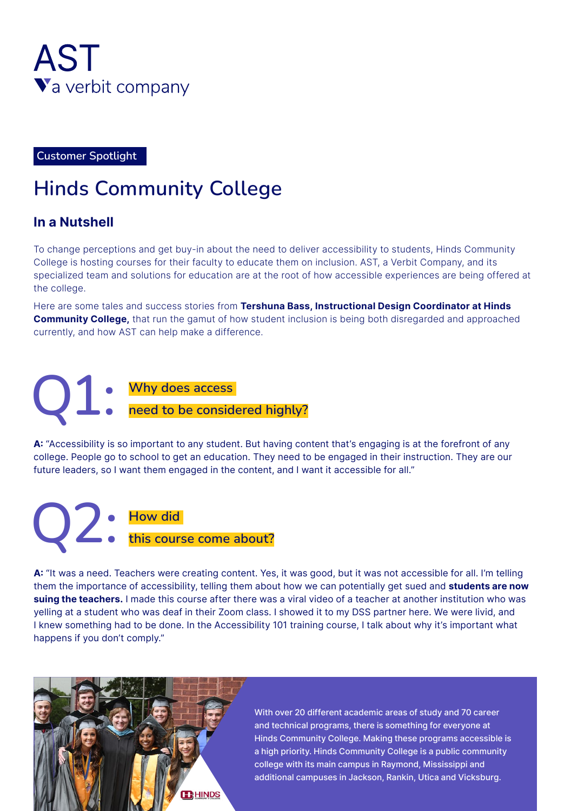

**Customer Spotlight** 

# **Hinds Community College**

#### **In a Nutshell**

To change perceptions and get buy-in about the need to deliver accessibility to students, Hinds Community College is hosting courses for their faculty to educate them on inclusion. AST, a Verbit Company, and its specialized team and solutions for education are at the root of how accessible experiences are being offered at the college.

Here are some tales and success stories from Tershuna Bass, Instructional Design Coordinator at Hinds **Community College,** that run the gamut of how student inclusion is being both disregarded and approached currently, and how AST can help make a difference.

**Why does access need to be considered highly?** Q1:

A: "Accessibility is so important to any student. But having content that's engaging is at the forefront of any college. People go to school to get an education. They need to be engaged in their instruction. They are our future leaders, so I want them engaged in the content, and I want it accessible for all."

**12** . How did this course come about?

A: "It was a need. Teachers were creating content. Yes, it was good, but it was not accessible for all. I'm telling them the importance of accessibility, telling them about how we can potentially get sued and **students are now** suing the teachers. I made this course after there was a viral video of a teacher at another institution who was yelling at a student who was deaf in their Zoom class. I showed it to my DSS partner here. We were livid, and I knew something had to be done. In the Accessibility 101 training course, I talk about why it's important what happens if you don't comply."



With over 20 different academic areas of study and 70 career and technical programs, there is something for everyone at Hinds Community College. Making these programs accessible is a high priority. Hinds Community College is a public community college with its main campus in Raymond, Mississippi and additional campuses in Jackson, Rankin, Utica and Vicksburg.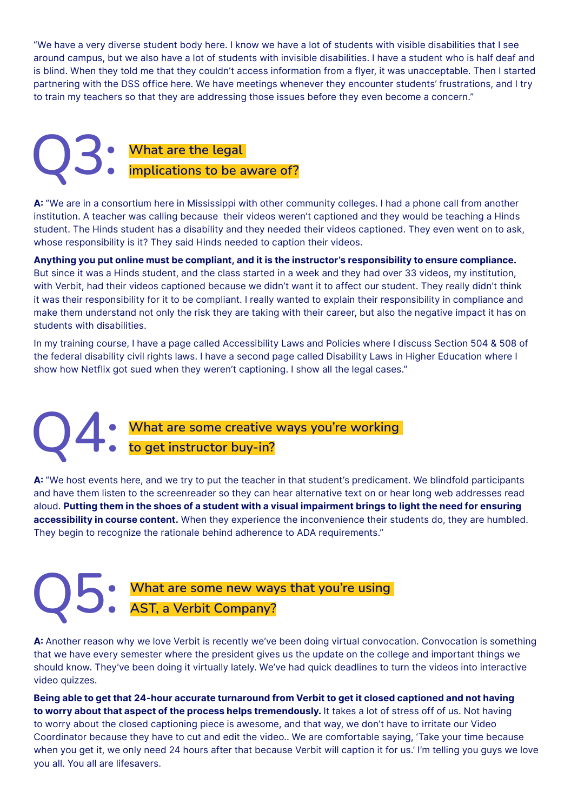"We have a very diverse student body here. I know we have a lot of students with visible disabilities that I see around campus, but we also have a lot of students with invisible disabilities. I have a student who is half deaf and is blind. When they told me that they couldn't access information from a flyer, it was unacceptable. Then I started partnering with the DSS office here. We have meetings whenever they encounter students' frustrations, and I try to train my teachers so that they are addressing those issues before they even become a concern."

## **What are the legal implications to be aware of?** Q3:

A: "We are in a consortium here in Mississippi with other community colleges. I had a phone call from another institution. A teacher was calling because their videos weren't captioned and they would be teaching a Hinds student. The Hinds student has a disability and they needed their videos captioned. They even went on to ask, whose responsibility is it? They said Hinds needed to caption their videos.

Anything you put online must be compliant, and it is the instructor's responsibility to ensure compliance. But since it was a Hinds student, and the class started in a week and they had over 33 videos, my institution, with Verbit, had their videos captioned because we didn't want it to affect our student. They really didn't think it was their responsibility for it to be compliant. I really wanted to explain their responsibility in compliance and make them understand not only the risk they are taking with their career, but also the negative impact it has on students with disabilities.

In my training course, I have a page called Accessibility Laws and Policies where I discuss Section 504 & 508 of the federal disability civil rights laws. I have a second page called Disability Laws in Higher Education where I show how Netflix got sued when they weren't captioning. I show all the legal cases."

#### **What are some creative ways you're working to get instructor buy-in?** Q4:

A: "We host events here, and we try to put the teacher in that student's predicament. We blindfold participants and have them listen to the screenreader so they can hear alternative text on or hear long web addresses read aloud. Putting them in the shoes of a student with a visual impairment brings to light the need for ensuring accessibility in course content. When they experience the inconvenience their students do, they are humbled. They begin to recognize the rationale behind adherence to ADA requirements."

#### **What are some new ways that you're using AST, a Verbit Company?** Q5:

A: Another reason why we love Verbit is recently we've been doing virtual convocation. Convocation is something that we have every semester where the president gives us the update on the college and important things we should know. They've been doing it virtually lately. We've had quick deadlines to turn the videos into interactive video quizzes.

**Being able to get that 24-hour accurate turnaround from Verbit to get it closed captioned and not having** to worry about that aspect of the process helps tremendously. It takes a lot of stress off of us. Not having to worry about the closed captioning piece is awesome, and that way, we don't have to irritate our Video Coordinator because they have to cut and edit the video.. We are comfortable saying, 'Take your time because when you get it, we only need 24 hours after that because Verbit will caption it for us.' I'm telling you guys we love you all. You all are lifesavers.